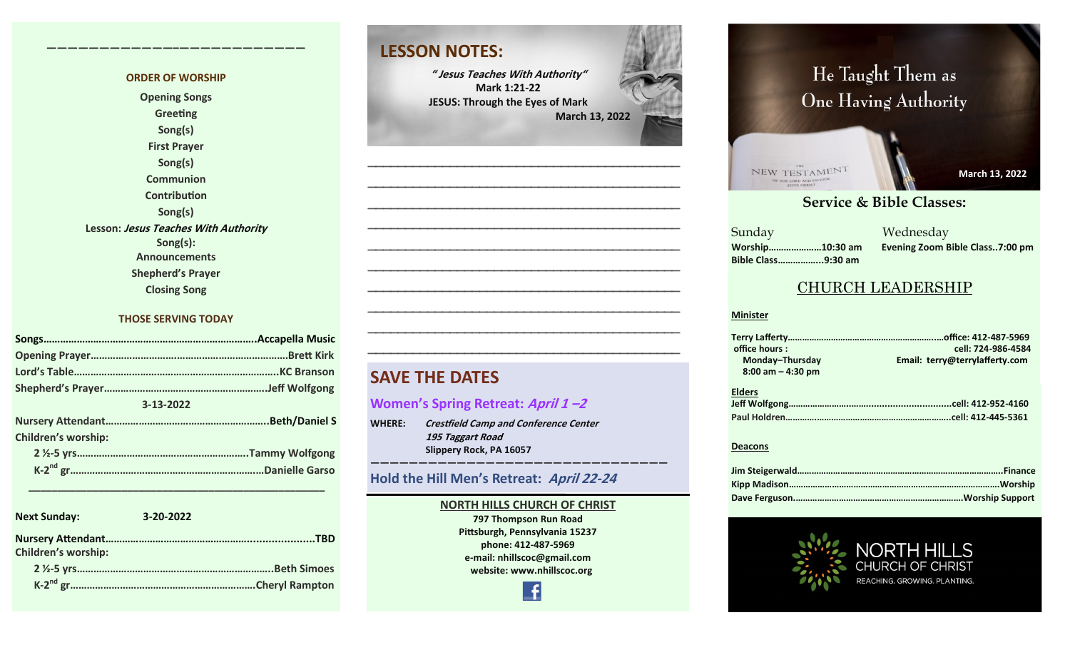#### **ORDER OF WORSHIP**

**————————————–————————————**

**Opening Songs Greeting Song(s) First Prayer Song(s) Communion Contribution Song(s) Lesson: Jesus Teaches With Authority Song(s): Announcements Shepherd's Prayer Closing Song**

#### **THOSE SERVING TODAY**

| 3-13-2022                  |  |
|----------------------------|--|
|                            |  |
| <b>Children's worship:</b> |  |
|                            |  |
|                            |  |

| <b>Next Sunday:</b>        | $3 - 20 - 2022$ |  |
|----------------------------|-----------------|--|
| <b>Children's worship:</b> |                 |  |
|                            |                 |  |
|                            |                 |  |

 **\_\_\_\_\_\_\_\_\_\_\_\_\_\_\_\_\_\_\_\_\_\_\_\_\_\_\_\_\_\_\_\_\_\_\_\_\_\_\_\_\_\_\_\_\_\_\_\_\_\_\_**

### **LESSON NOTES:**

**" Jesus Teaches With Authority" Mark 1:21-22 JESUS: Through the Eyes of Mark March 13, 2022**

**—————————————————————————————————————————— —————————————————————————————————————————— —————————————————————————————————————————— —————————————————————————————————————————— —————————————————————————————————————————— —————————————————————————————————————————— —————————————————————————————————————————— —————————————————————————————————————————— —————————————————————————————————————————— ——————————————————————————————————————————**

### **SAVE THE DATES**

#### **Women's Spring Retreat: April 1 –2**

**WHERE: Crestfield Camp and Conference Center 195 Taggart Road Slippery Rock, PA 16057** 

#### **Hold the Hill Men's Retreat: April 22-<sup>24</sup>**

#### **NORTH HILLS CHURCH OF CHRIST**

**———————————————————————————————**

**797 Thompson Run Road Pittsburgh, Pennsylvania 15237 phone: 412-487-5969 e-mail: nhillscoc@gmail.com website: www.nhillscoc.org** 

# **March 24, 2019** He Taught Them as One Having Authority



**March 13, 2022 March 6, 2022 March 13, 2022 March 13, 2022**

**January 14, 2018**

**May 9, 2021**

**May 17, 2020**

**March 7, 2021**

**December 6, 2020**

#### **September 24, 2017 October 8, 2017 October 15, 2017 October 8, 2017 October 22, 2017 October 29, 2017 November 5, 2017 November 12, 2017 November 26, 2017 December 10, 2017 December 24, 2017 January 7, 2017 January 7, 2017 February 21, 2021 March 2021**<br> **Service & Bible Classes:**

**March 18, 2018 January 28, 2018 February 4, 2018 January 21, 2018 Sunday Bible Class……………...9:30 am**

**December 17, 2017 December 29, 2019 February 9, 2020 January 26, 2020 February 23, 2020 March 1, 2020 April 5, 2020** Sunday Wednesday **Worship…………………10:30 am Evening Zoom Bible Class..7:00 pm**

### CHURCH LEADERSHIP

#### **Minister**

**Elders Terry Lafferty……………………………………………………..…office: 412-487-5969 office hours : cell: 724-986-4584** Email: terry@terrylafferty.com  **8:00 am – 4:30 pm**

#### **Deacons**